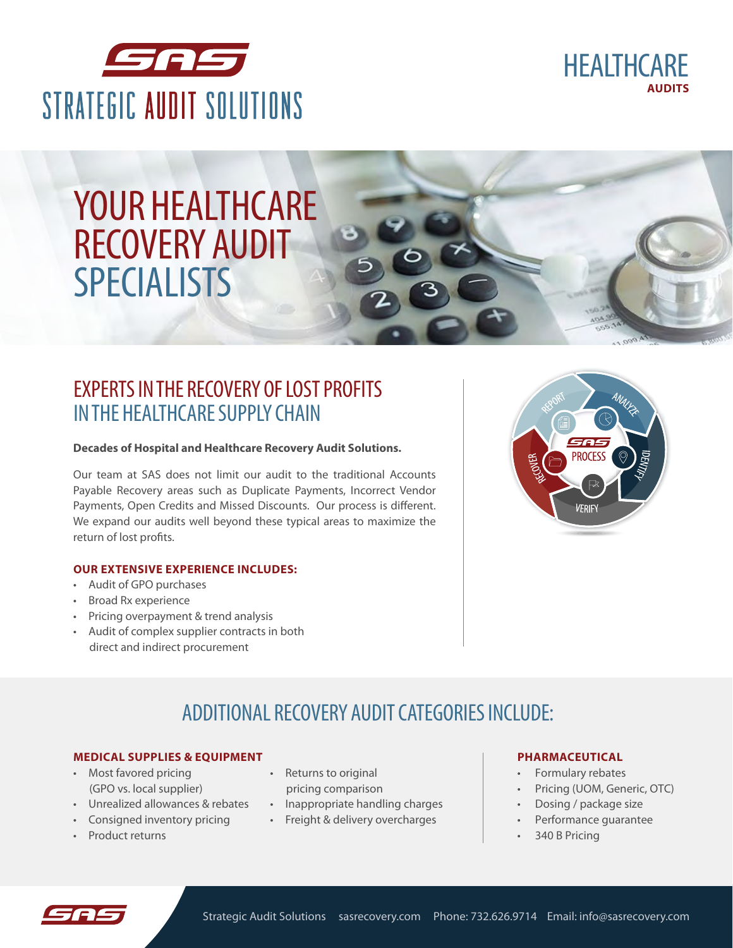



# YOUR HEALTHCARE RECOVERY AUDIT SPECIALISTS

## EXPERTS IN THE RECOVERY OF LOST PROFITS IN THE HEALTHCARE SUPPLY CHAIN

#### **Decades of Hospital and Healthcare Recovery Audit Solutions.**

Our team at SAS does not limit our audit to the traditional Accounts Payable Recovery areas such as Duplicate Payments, Incorrect Vendor Payments, Open Credits and Missed Discounts. Our process is different. We expand our audits well beyond these typical areas to maximize the return of lost profits.

#### **OUR EXTENSIVE EXPERIENCE INCLUDES:**

- Audit of GPO purchases
- Broad Rx experience
- Pricing overpayment & trend analysis
- Audit of complex supplier contracts in both direct and indirect procurement



## ADDITIONAL RECOVERY AUDIT CATEGORIES INCLUDE:

### **MEDICAL SUPPLIES & EQUIPMENT**

- Most favored pricing (GPO vs. local supplier)
- Unrealized allowances & rebates
- Consigned inventory pricing
- Product returns
- Returns to original pricing comparison
- Inappropriate handling charges
- Freight & delivery overcharges

#### **PHARMACEUTICAL**

- Formulary rebates
- Pricing (UOM, Generic, OTC)
- Dosing / package size
- Performance guarantee
- 340 B Pricing